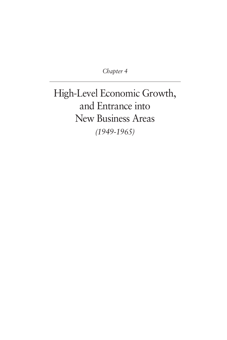*Chapter 4*

High-Level Economic Growth, and Entrance into New Business Areas *(1949-1965)*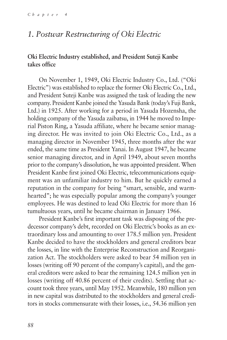# *1. Postwar Restructuring of Oki Electric*

### **Oki Electric Industry established, and President Suteji Kanbe takes office**

On November 1, 1949, Oki Electric Industry Co., Ltd. ("Oki Electric") was established to replace the former Oki Electric Co., Ltd., and President Suteji Kanbe was assigned the task of leading the new company. President Kanbe joined the Yasuda Bank (today's Fuji Bank, Ltd.) in 1925. After working for a period in Yasuda Hozensha, the holding company of the Yasuda zaibatsu, in 1944 he moved to Imperial Piston Ring, a Yasuda affiliate, where he became senior managing director. He was invited to join Oki Electric Co., Ltd., as a managing director in November 1945, three months after the war ended, the same time as President Yanai. In August 1947, he became senior managing director, and in April 1949, about seven months prior to the company's dissolution, he was appointed president. When President Kanbe first joined Oki Electric, telecommunications equipment was an unfamiliar industry to him. But he quickly earned a reputation in the company for being "smart, sensible, and warmhearted"; he was especially popular among the company's younger employees. He was destined to lead Oki Electric for more than 16 tumultuous years, until he became chairman in January 1966.

President Kanbe's first important task was disposing of the predecessor company's debt, recorded on Oki Electric's books as an extraordinary loss and amounting to over 178.5 million yen. President Kanbe decided to have the stockholders and general creditors bear the losses, in line with the Enterprise Reconstruction and Reorganization Act. The stockholders were asked to bear 54 million yen in losses (writing off 90 percent of the company's capital), and the general creditors were asked to bear the remaining 124.5 million yen in losses (writing off 40.86 percent of their credits). Settling that account took three years, until May 1952. Meanwhile, 180 million yen in new capital was distributed to the stockholders and general creditors in stocks commensurate with their losses, i.e., 54.36 million yen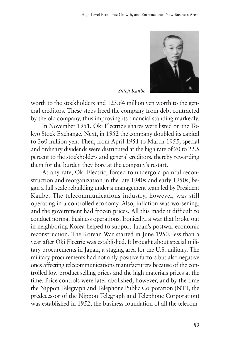

*Suteji Kanbe*

worth to the stockholders and 125.64 million yen worth to the general creditors. These steps freed the company from debt contracted by the old company, thus improving its financial standing markedly.

In November 1951, Oki Electric's shares were listed on the Tokyo Stock Exchange. Next, in 1952 the company doubled its capital to 360 million yen. Then, from April 1951 to March 1955, special and ordinary dividends were distributed at the high rate of 20 to 22.5 percent to the stockholders and general creditors, thereby rewarding them for the burden they bore at the company's restart.

At any rate, Oki Electric, forced to undergo a painful reconstruction and reorganization in the late 1940s and early 1950s, began a full-scale rebuilding under a management team led by President Kanbe. The telecommunications industry, however, was still operating in a controlled economy. Also, inflation was worsening, and the government had frozen prices. All this made it difficult to conduct normal business operations. Ironically, a war that broke out in neighboring Korea helped to support Japan's postwar economic reconstruction. The Korean War started in June 1950, less than a year after Oki Electric was established. It brought about special military procurements in Japan, a staging area for the U.S. military. The military procurements had not only positive factors but also negative ones affecting telecommunications manufacturers because of the controlled low product selling prices and the high materials prices at the time. Price controls were later abolished, however, and by the time the Nippon Telegraph and Telephone Public Corporation (NTT, the predecessor of the Nippon Telegraph and Telephone Corporation) was established in 1952, the business foundation of all the telecom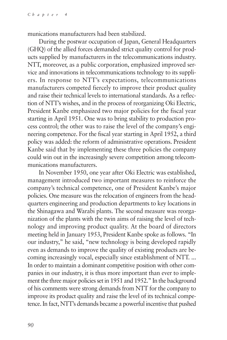munications manufacturers had been stabilized.

During the postwar occupation of Japan, General Headquarters (GHQ) of the allied forces demanded strict quality control for products supplied by manufacturers in the telecommunications industry. NTT, moreover, as a public corporation, emphasized improved service and innovations in telecommunications technology to its suppliers. In response to NTT's expectations, telecommunications manufacturers competed fiercely to improve their product quality and raise their technical levels to international standards. As a reflection of NTT's wishes, and in the process of reorganizing Oki Electric, President Kanbe emphasized two major policies for the fiscal year starting in April 1951. One was to bring stability to production process control; the other was to raise the level of the company's engineering competence. For the fiscal year starting in April 1952, a third policy was added: the reform of administrative operations. President Kanbe said that by implementing these three policies the company could win out in the increasingly severe competition among telecommunications manufacturers.

In November 1950, one year after Oki Electric was established, management introduced two important measures to reinforce the company's technical competence, one of President Kanbe's major policies. One measure was the relocation of engineers from the headquarters engineering and production departments to key locations in the Shinagawa and Warabi plants. The second measure was reorganization of the plants with the twin aims of raising the level of technology and improving product quality. At the board of directors meeting held in January 1953, President Kanbe spoke as follows. "In our industry," he said, "new technology is being developed rapidly even as demands to improve the quality of existing products are becoming increasingly vocal, especially since establishment of NTT. ... In order to maintain a dominant competitive position with other companies in our industry, it is thus more important than ever to implement the three major policies set in 1951 and 1952." In the background of his comments were strong demands from NTT for the company to improve its product quality and raise the level of its technical competence. In fact, NTT's demands became a powerful incentive that pushed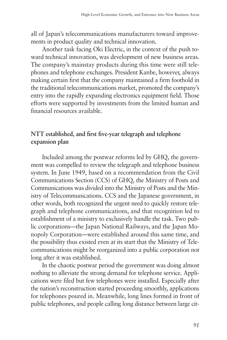all of Japan's telecommunications manufacturers toward improvements in product quality and technical innovation.

Another task facing Oki Electric, in the context of the push toward technical innovation, was development of new business areas. The company's mainstay products during this time were still telephones and telephone exchanges. President Kanbe, however, always making certain first that the company maintained a firm foothold in the traditional telecommunications market, promoted the company's entry into the rapidly expanding electronics equipment field. Those efforts were supported by investments from the limited human and financial resources available.

# **NTT established, and first five-year telegraph and telephone expansion plan**

Included among the postwar reforms led by GHQ, the government was compelled to review the telegraph and telephone business system. In June 1949, based on a recommendation from the Civil Communications Section (CCS) of GHQ, the Ministry of Posts and Communications was divided into the Ministry of Posts and the Ministry of Telecommunications. CCS and the Japanese government, in other words, both recognized the urgent need to quickly restore telegraph and telephone communications, and that recognition led to establishment of a ministry to exclusively handle the task. Two public corporations—the Japan National Railways, and the Japan Monopoly Corporation—were established around this same time, and the possibility thus existed even at its start that the Ministry of Telecommunications might be reorganized into a public corporation not long after it was established.

In the chaotic postwar period the government was doing almost nothing to alleviate the strong demand for telephone service. Applications were filed but few telephones were installed. Especially after the nation's reconstruction started proceeding smoothly, applications for telephones poured in. Meanwhile, long lines formed in front of public telephones, and people calling long distance between large cit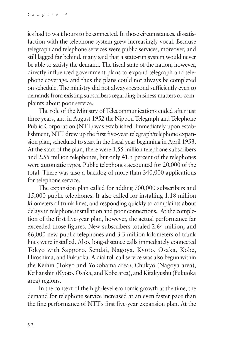ies had to wait hours to be connected. In those circumstances, dissatisfaction with the telephone system grew increasingly vocal. Because telegraph and telephone services were public services, moreover, and still lagged far behind, many said that a state-run system would never be able to satisfy the demand. The fiscal state of the nation, however, directly influenced government plans to expand telegraph and telephone coverage, and thus the plans could not always be completed on schedule. The ministry did not always respond sufficiently even to demands from existing subscribers regarding business matters or complaints about poor service.

The role of the Ministry of Telecommunications ended after just three years, and in August 1952 the Nippon Telegraph and Telephone Public Corporation (NTT) was established. Immediately upon establishment, NTT drew up the first five-year telegraph/telephone expansion plan, scheduled to start in the fiscal year beginning in April 1953. At the start of the plan, there were 1.55 million telephone subscribers and 2.55 million telephones, but only 41.5 percent of the telephones were automatic types. Public telephones accounted for 20,000 of the total. There was also a backlog of more than 340,000 applications for telephone service.

The expansion plan called for adding 700,000 subscribers and 15,000 public telephones. It also called for installing 1.18 million kilometers of trunk lines, and responding quickly to complaints about delays in telephone installation and poor connections. At the completion of the first five-year plan, however, the actual performance far exceeded those figures. New subscribers totaled 2.64 million, and 66,000 new public telephones and 3.3 million kilometers of trunk lines were installed. Also, long-distance calls immediately connected Tokyo with Sapporo, Sendai, Nagoya, Kyoto, Osaka, Kobe, Hiroshima, and Fukuoka. A dial toll call service was also begun within the Keihin (Tokyo and Yokohama area), Chukyo (Nagoya area), Keihanshin (Kyoto, Osaka, and Kobe area), and Kitakyushu (Fukuoka area) regions.

In the context of the high-level economic growth at the time, the demand for telephone service increased at an even faster pace than the fine performance of NTT's first five-year expansion plan. At the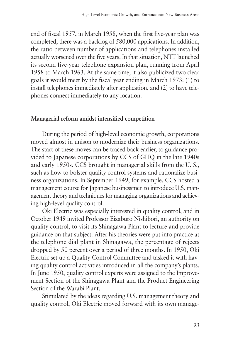end of fiscal 1957, in March 1958, when the first five-year plan was completed, there was a backlog of 580,000 applications. In addition, the ratio between number of applications and telephones installed actually worsened over the five years. In that situation, NTT launched its second five-year telephone expansion plan, running from April 1958 to March 1963. At the same time, it also publicized two clear goals it would meet by the fiscal year ending in March 1973: (1) to install telephones immediately after application, and (2) to have telephones connect immediately to any location.

#### **Managerial reform amidst intensified competition**

During the period of high-level economic growth, corporations moved almost in unison to modernize their business organizations. The start of these moves can be traced back earlier, to guidance provided to Japanese corporations by CCS of GHQ in the late 1940s and early 1950s. CCS brought in managerial skills from the U. S., such as how to bolster quality control systems and rationalize business organizations. In September 1949, for example, CCS hosted a management course for Japanese businessmen to introduce U.S. management theory and techniques for managing organizations and achieving high-level quality control.

Oki Electric was especially interested in quality control, and in October 1949 invited Professor Eizaburo Nishibori, an authority on quality control, to visit its Shinagawa Plant to lecture and provide guidance on that subject. After his theories were put into practice at the telephone dial plant in Shinagawa, the percentage of rejects dropped by 50 percent over a period of three months. In 1950, Oki Electric set up a Quality Control Committee and tasked it with having quality control activities introduced in all the company's plants. In June 1950, quality control experts were assigned to the Improvement Section of the Shinagawa Plant and the Product Engineering Section of the Warabi Plant.

Stimulated by the ideas regarding U.S. management theory and quality control, Oki Electric moved forward with its own manage-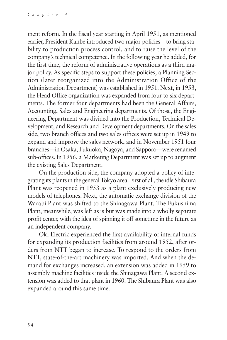ment reform. In the fiscal year starting in April 1951, as mentioned earlier, President Kanbe introduced two major policies—to bring stability to production process control, and to raise the level of the company's technical competence. In the following year he added, for the first time, the reform of administrative operations as a third major policy. As specific steps to support these policies, a Planning Section (later reorganized into the Administration Office of the Administration Department) was established in 1951. Next, in 1953, the Head Office organization was expanded from four to six departments. The former four departments had been the General Affairs, Accounting, Sales and Engineering departments. Of those, the Engineering Department was divided into the Production, Technical Development, and Research and Development departments. On the sales side, two branch offices and two sales offices were set up in 1949 to expand and improve the sales network, and in November 1951 four branches—in Osaka, Fukuoka, Nagoya, and Sapporo—were renamed sub-offices. In 1956, a Marketing Department was set up to augment the existing Sales Department.

On the production side, the company adopted a policy of integrating its plants in the general Tokyo area. First of all, the idle Shibaura Plant was reopened in 1953 as a plant exclusively producing new models of telephones. Next, the automatic exchange division of the Warabi Plant was shifted to the Shinagawa Plant. The Fukushima Plant, meanwhile, was left as is but was made into a wholly separate profit center, with the idea of spinning it off sometime in the future as an independent company.

Oki Electric experienced the first availability of internal funds for expanding its production facilities from around 1952, after orders from NTT began to increase. To respond to the orders from NTT, state-of-the-art machinery was imported. And when the demand for exchanges increased, an extension was added in 1959 to assembly machine facilities inside the Shinagawa Plant. A second extension was added to that plant in 1960. The Shibaura Plant was also expanded around this same time.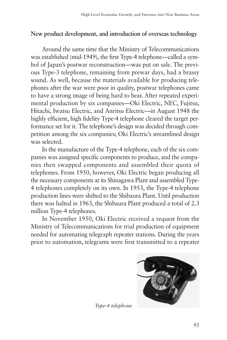# **New product development, and introduction of overseas technology**

Around the same time that the Ministry of Telecommunications was established (mid-1949), the first Type-4 telephone—called a symbol of Japan's postwar reconstruction—was put on sale. The previous Type-3 telephone, remaining from prewar days, had a brassy sound. As well, because the materials available for producing telephones after the war were poor in quality, postwar telephones came to have a strong image of being hard to hear. After repeated experimental production by six companies—Oki Electric, NEC, Fujitsu, Hitachi, Iwatsu Electric, and Anritsu Electric—in August 1948 the highly efficient, high fidelity Type-4 telephone cleared the target performance set for it. The telephone's design was decided through competition among the six companies; Oki Electric's streamlined design was selected.

In the manufacture of the Type-4 telephone, each of the six companies was assigned specific components to produce, and the companies then swapped components and assembled their quota of telephones. From 1950, however, Oki Electric began producing all the necessary components at its Shinagawa Plant and assembled Type-4 telephones completely on its own. In 1953, the Type-4 telephone production lines were shifted to the Shibaura Plant. Until production there was halted in 1963, the Shibaura Plant produced a total of 2.3 million Type-4 telephones.

In November 1950, Oki Electric received a request from the Ministry of Telecommunications for trial production of equipment needed for automating telegraph repeater stations. During the years prior to automation, telegrams were first transmitted to a repeater



*Type-4 telephone*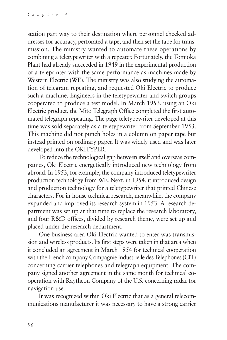station part way to their destination where personnel checked addresses for accuracy, perforated a tape, and then set the tape for transmission. The ministry wanted to automate these operations by combining a teletypewriter with a repeater. Fortunately, the Tomioka Plant had already succeeded in 1949 in the experimental production of a teleprinter with the same performance as machines made by Western Electric (WE). The ministry was also studying the automation of telegram repeating, and requested Oki Electric to produce such a machine. Engineers in the teletypewriter and switch groups cooperated to produce a test model. In March 1953, using an Oki Electric product, the Mito Telegraph Office completed the first automated telegraph repeating. The page teletypewriter developed at this time was sold separately as a teletypewriter from September 1953. This machine did not punch holes in a column on paper tape but instead printed on ordinary paper. It was widely used and was later developed into the OKITYPER.

To reduce the technological gap between itself and overseas companies, Oki Electric energetically introduced new technology from abroad. In 1953, for example, the company introduced teletypewriter production technology from WE. Next, in 1954, it introduced design and production technology for a teletypewriter that printed Chinese characters. For in-house technical research, meanwhile, the company expanded and improved its research system in 1953. A research department was set up at that time to replace the research laboratory, and four R&D offices, divided by research theme, were set up and placed under the research department.

One business area Oki Electric wanted to enter was transmission and wireless products. Its first steps were taken in that area when it concluded an agreement in March 1954 for technical cooperation with the French company Compagnie Industrielle des Telephones (CIT) concerning carrier telephones and telegraph equipment. The company signed another agreement in the same month for technical cooperation with Raytheon Company of the U.S. concerning radar for navigation use.

It was recognized within Oki Electric that as a general telecommunications manufacturer it was necessary to have a strong carrier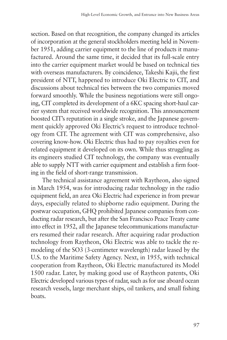section. Based on that recognition, the company changed its articles of incorporation at the general stockholders meeting held in November 1951, adding carrier equipment to the line of products it manufactured. Around the same time, it decided that its full-scale entry into the carrier equipment market would be based on technical ties with overseas manufacturers. By coincidence, Takeshi Kajii, the first president of NTT, happened to introduce Oki Electric to CIT, and discussions about technical ties between the two companies moved forward smoothly. While the business negotiations were still ongoing, CIT completed its development of a 6KC spacing short-haul carrier system that received worldwide recognition. This announcement boosted CIT's reputation in a single stroke, and the Japanese government quickly approved Oki Electric's request to introduce technology from CIT. The agreement with CIT was comprehensive, also covering know-how. Oki Electric thus had to pay royalties even for related equipment it developed on its own. While thus struggling as its engineers studied CIT technology, the company was eventually able to supply NTT with carrier equipment and establish a firm footing in the field of short-range transmission.

The technical assistance agreement with Raytheon, also signed in March 1954, was for introducing radar technology in the radio equipment field, an area Oki Electric had experience in from prewar days, especially related to shipborne radio equipment. During the postwar occupation, GHQ prohibited Japanese companies from conducting radar research, but after the San Francisco Peace Treaty came into effect in 1952, all the Japanese telecommunications manufacturers resumed their radar research. After acquiring radar production technology from Raytheon, Oki Electric was able to tackle the remodeling of the SO3 (3-centimeter wavelength) radar leased by the U.S. to the Maritime Safety Agency. Next, in 1955, with technical cooperation from Raytheon, Oki Electric manufactured its Model 1500 radar. Later, by making good use of Raytheon patents, Oki Electric developed various types of radar, such as for use aboard ocean research vessels, large merchant ships, oil tankers, and small fishing boats.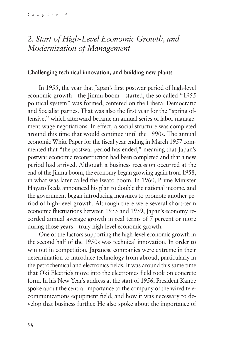# *2. Start of High-Level Economic Growth, and Modernization of Management*

#### **Challenging technical innovation, and building new plants**

In 1955, the year that Japan's first postwar period of high-level economic growth—the Jinmu boom—started, the so-called "1955 political system" was formed, centered on the Liberal Democratic and Socialist parties. That was also the first year for the "spring offensive," which afterward became an annual series of labor-management wage negotiations. In effect, a social structure was completed around this time that would continue until the 1990s. The annual economic White Paper for the fiscal year ending in March 1957 commented that "the postwar period has ended," meaning that Japan's postwar economic reconstruction had been completed and that a new period had arrived. Although a business recession occurred at the end of the Jinmu boom, the economy began growing again from 1958, in what was later called the Iwato boom. In 1960, Prime Minister Hayato Ikeda announced his plan to double the national income, and the government began introducing measures to promote another period of high-level growth. Although there were several short-term economic fluctuations between 1955 and 1959, Japan's economy recorded annual average growth in real terms of 7 percent or more during those years—truly high-level economic growth.

One of the factors supporting the high-level economic growth in the second half of the 1950s was technical innovation. In order to win out in competition, Japanese companies were extreme in their determination to introduce technology from abroad, particularly in the petrochemical and electronics fields. It was around this same time that Oki Electric's move into the electronics field took on concrete form. In his New Year's address at the start of 1956, President Kanbe spoke about the central importance to the company of the wired telecommunications equipment field, and how it was necessary to develop that business further. He also spoke about the importance of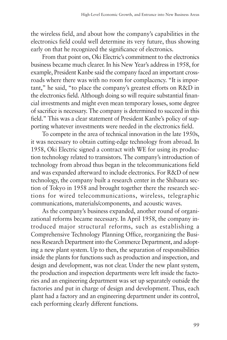the wireless field, and about how the company's capabilities in the electronics field could well determine its very future, thus showing early on that he recognized the significance of electronics.

From that point on, Oki Electric's commitment to the electronics business became much clearer. In his New Year's address in 1958, for example, President Kanbe said the company faced an important crossroads where there was with no room for complacency. "It is important," he said, "to place the company's greatest efforts on R&D in the electronics field. Although doing so will require substantial financial investments and might even mean temporary losses, some degree of sacrifice is necessary. The company is determined to succeed in this field." This was a clear statement of President Kanbe's policy of supporting whatever investments were needed in the electronics field.

To compete in the area of technical innovation in the late 1950s, it was necessary to obtain cutting-edge technology from abroad. In 1958, Oki Electric signed a contract with WE for using its production technology related to transistors. The company's introduction of technology from abroad thus began in the telecommunications field and was expanded afterward to include electronics. For R&D of new technology, the company built a research center in the Shibaura section of Tokyo in 1958 and brought together there the research sections for wired telecommunications, wireless, telegraphic communications, materials/components, and acoustic waves.

As the company's business expanded, another round of organizational reforms became necessary. In April 1958, the company introduced major structural reforms, such as establishing a Comprehensive Technology Planning Office, reorganizing the Business Research Department into the Commerce Department, and adopting a new plant system. Up to then, the separation of responsibilities inside the plants for functions such as production and inspection, and design and development, was not clear. Under the new plant system, the production and inspection departments were left inside the factories and an engineering department was set up separately outside the factories and put in charge of design and development. Thus, each plant had a factory and an engineering department under its control, each performing clearly different functions.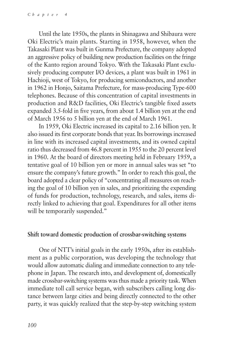Until the late 1950s, the plants in Shinagawa and Shibaura were Oki Electric's main plants. Starting in 1958, however, when the Takasaki Plant was built in Gunma Prefecture, the company adopted an aggressive policy of building new production facilities on the fringe of the Kanto region around Tokyo. With the Takasaki Plant exclusively producing computer I/O devices, a plant was built in 1961 in Hachioji, west of Tokyo, for producing semiconductors, and another in 1962 in Honjo, Saitama Prefecture, for mass-producing Type-600 telephones. Because of this concentration of capital investments in production and R&D facilities, Oki Electric's tangible fixed assets expanded 3.5-fold in five years, from about 1.4 billion yen at the end of March 1956 to 5 billion yen at the end of March 1961.

In 1959, Oki Electric increased its capital to 2.16 billion yen. It also issued its first corporate bonds that year. Its borrowings increased in line with its increased capital investments, and its owned capital ratio thus decreased from 46.8 percent in 1955 to the 20 percent level in 1960. At the board of directors meeting held in February 1959, a tentative goal of 10 billion yen or more in annual sales was set "to ensure the company's future growth." In order to reach this goal, the board adopted a clear policy of "concentrating all measures on reaching the goal of 10 billion yen in sales, and prioritizing the expending of funds for production, technology, research, and sales, items directly linked to achieving that goal. Expenditures for all other items will be temporarily suspended."

#### **Shift toward domestic production of crossbar-switching systems**

One of NTT's initial goals in the early 1950s, after its establishment as a public corporation, was developing the technology that would allow automatic dialing and immediate connection to any telephone in Japan. The research into, and development of, domestically made crossbar-switching systems was thus made a priority task. When immediate toll call service began, with subscribers calling long distance between large cities and being directly connected to the other party, it was quickly realized that the step-by-step switching system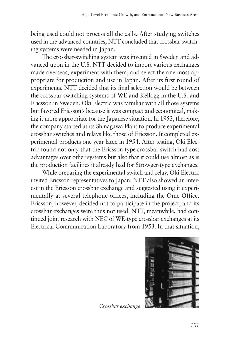being used could not process all the calls. After studying switches used in the advanced countries, NTT concluded that crossbar-switching systems were needed in Japan.

The crossbar-switching system was invented in Sweden and advanced upon in the U.S. NTT decided to import various exchanges made overseas, experiment with them, and select the one most appropriate for production and use in Japan. After its first round of experiments, NTT decided that its final selection would be between the crossbar-switching systems of WE and Kellogg in the U.S. and Ericsson in Sweden. Oki Electric was familiar with all those systems but favored Ericsson's because it was compact and economical, making it more appropriate for the Japanese situation. In 1953, therefore, the company started at its Shinagawa Plant to produce experimental crossbar switches and relays like those of Ericsson. It completed experimental products one year later, in 1954. After testing, Oki Electric found not only that the Ericsson-type crossbar switch had cost advantages over other systems but also that it could use almost as is the production facilities it already had for Strowger-type exchanges.

While preparing the experimental switch and relay, Oki Electric invited Ericsson representatives to Japan. NTT also showed an interest in the Ericsson crossbar exchange and suggested using it experimentally at several telephone offices, including the Ome Office. Ericsson, however, decided not to participate in the project, and its crossbar exchanges were thus not used. NTT, meanwhile, had continued joint research with NEC of WE-type crossbar exchanges at its Electrical Communication Laboratory from 1953. In that situation,



*Crossbar exchange*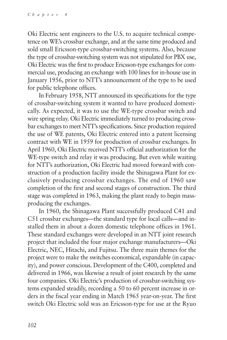Oki Electric sent engineers to the U.S. to acquire technical competence on WE's crossbar exchange, and at the same time produced and sold small Ericsson-type crossbar-switching systems. Also, because the type of crossbar-switching system was not stipulated for PBX use, Oki Electric was the first to produce Ericsson-type exchanges for commercial use, producing an exchange with 100 lines for in-house use in January 1956, prior to NTT's announcement of the type to be used for public telephone offices.

In February 1958, NTT announced its specifications for the type of crossbar-switching system it wanted to have produced domestically. As expected, it was to use the WE-type crossbar switch and wire spring relay. Oki Electric immediately turned to producing crossbar exchanges to meet NTT's specifications. Since production required the use of WE patents, Oki Electric entered into a patent licensing contract with WE in 1959 for production of crossbar exchanges. In April 1960, Oki Electric received NTT's official authorization for the WE-type switch and relay it was producing. But even while waiting for NTT's authorization, Oki Electric had moved forward with construction of a production facility inside the Shinagawa Plant for exclusively producing crossbar exchanges. The end of 1960 saw completion of the first and second stages of construction. The third stage was completed in 1963, making the plant ready to begin massproducing the exchanges.

In 1960, the Shinagawa Plant successfully produced C41 and C51 crossbar exchanges—the standard type for local calls—and installed them in about a dozen domestic telephone offices in 1961. These standard exchanges were developed in an NTT joint research project that included the four major exchange manufacturers—Oki Electric, NEC, Hitachi, and Fujitsu. The three main themes for the project were to make the switches economical, expandable (in capacity), and power conscious. Development of the C400, completed and delivered in 1966, was likewise a result of joint research by the same four companies. Oki Electric's production of crossbar-switching systems expanded steadily, recording a 50 to 60 percent increase in orders in the fiscal year ending in March 1965 year-on-year. The first switch Oki Electric sold was an Ericsson-type for use at the Ryuo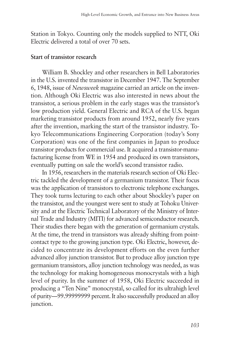Station in Tokyo. Counting only the models supplied to NTT, Oki Electric delivered a total of over 70 sets.

#### **Start of transistor research**

William B. Shockley and other researchers in Bell Laboratories in the U.S. invented the transistor in December 1947. The September 6, 1948, issue of *Newsweek* magazine carried an article on the invention. Although Oki Electric was also interested in news about the transistor, a serious problem in the early stages was the transistor's low production yield. General Electric and RCA of the U.S. began marketing transistor products from around 1952, nearly five years after the invention, marking the start of the transistor industry. Tokyo Telecommunications Engineering Corporation (today's Sony Corporation) was one of the first companies in Japan to produce transistor products for commercial use. It acquired a transistor-manufacturing license from WE in 1954 and produced its own transistors, eventually putting on sale the world's second transistor radio.

In 1956, researchers in the materials research section of Oki Electric tackled the development of a germanium transistor. Their focus was the application of transistors to electronic telephone exchanges. They took turns lecturing to each other about Shockley's paper on the transistor, and the youngest were sent to study at Tohoku University and at the Electric Technical Laboratory of the Ministry of Internal Trade and Industry (MITI) for advanced semiconductor research. Their studies there began with the generation of germanium crystals. At the time, the trend in transistors was already shifting from pointcontact type to the growing junction type. Oki Electric, however, decided to concentrate its development efforts on the even further advanced alloy junction transistor. But to produce alloy junction type germanium transistors, alloy junction technology was needed, as was the technology for making homogeneous monocrystals with a high level of purity. In the summer of 1958, Oki Electric succeeded in producing a "Ten Nine" monocrystal, so called for its ultrahigh level of purity—99.99999999 percent. It also successfully produced an alloy junction.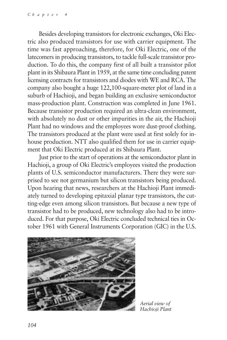Besides developing transistors for electronic exchanges, Oki Electric also produced transistors for use with carrier equipment. The time was fast approaching, therefore, for Oki Electric, one of the latecomers in producing transistors, to tackle full-scale transistor production. To do this, the company first of all built a transistor pilot plant in its Shibaura Plant in 1959, at the same time concluding patent licensing contracts for transistors and diodes with WE and RCA. The company also bought a huge 122,100-square-meter plot of land in a suburb of Hachioji, and began building an exclusive semiconductor mass-production plant. Construction was completed in June 1961. Because transistor production required an ultra-clean environment, with absolutely no dust or other impurities in the air, the Hachioji Plant had no windows and the employees wore dust-proof clothing. The transistors produced at the plant were used at first solely for inhouse production. NTT also qualified them for use in carrier equipment that Oki Electric produced at its Shibaura Plant.

Just prior to the start of operations at the semiconductor plant in Hachioji, a group of Oki Electric's employees visited the production plants of U.S. semiconductor manufacturers. There they were surprised to see not germanium but silicon transistors being produced. Upon hearing that news, researchers at the Hachioji Plant immediately turned to developing epitaxial planar type transistors, the cutting-edge even among silicon transistors. But because a new type of transistor had to be produced, new technology also had to be introduced. For that purpose, Oki Electric concluded technical ties in October 1961 with General Instruments Corporation (GIC) in the U.S.



*Aerial view of Hachioji Plant*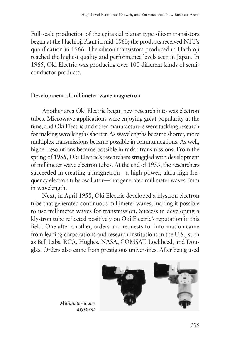Full-scale production of the epitaxial planar type silicon transistors began at the Hachioji Plant in mid-1963; the products received NTT's qualification in 1966. The silicon transistors produced in Hachioji reached the highest quality and performance levels seen in Japan. In 1965, Oki Electric was producing over 100 different kinds of semiconductor products.

### **Development of millimeter wave magnetron**

Another area Oki Electric began new research into was electron tubes. Microwave applications were enjoying great popularity at the time, and Oki Electric and other manufacturers were tackling research for making wavelengths shorter. As wavelengths became shorter, more multiplex transmissions became possible in communications. As well, higher resolutions became possible in radar transmissions. From the spring of 1955, Oki Electric's researchers struggled with development of millimeter wave electron tubes. At the end of 1955, the researchers succeeded in creating a magnetron—a high-power, ultra-high frequency electron tube oscillator—that generated millimeter waves 7mm in wavelength.

Next, in April 1958, Oki Electric developed a klystron electron tube that generated continuous millimeter waves, making it possible to use millimeter waves for transmission. Success in developing a klystron tube reflected positively on Oki Electric's reputation in this field. One after another, orders and requests for information came from leading corporations and research institutions in the U.S., such as Bell Labs, RCA, Hughes, NASA, COMSAT, Lockheed, and Douglas. Orders also came from prestigious universities. After being used



*Millimeter-wave klystron*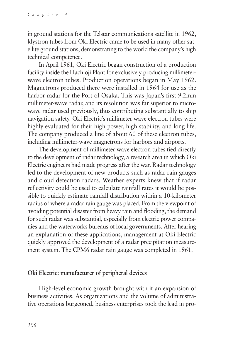in ground stations for the Telstar communications satellite in 1962, klystron tubes from Oki Electric came to be used in many other satellite ground stations, demonstrating to the world the company's high technical competence.

In April 1961, Oki Electric began construction of a production facility inside the Hachioji Plant for exclusively producing millimeterwave electron tubes. Production operations began in May 1962. Magnetrons produced there were installed in 1964 for use as the harbor radar for the Port of Osaka. This was Japan's first 9.2mm millimeter-wave radar, and its resolution was far superior to microwave radar used previously, thus contributing substantially to ship navigation safety. Oki Electric's millimeter-wave electron tubes were highly evaluated for their high power, high stability, and long life. The company produced a line of about 60 of these electron tubes, including millimeter-wave magnetrons for harbors and airports.

The development of millimeter-wave electron tubes tied directly to the development of radar technology, a research area in which Oki Electric engineers had made progress after the war. Radar technology led to the development of new products such as radar rain gauges and cloud detection radars. Weather experts knew that if radar reflectivity could be used to calculate rainfall rates it would be possible to quickly estimate rainfall distribution within a 10-kilometer radius of where a radar rain gauge was placed. From the viewpoint of avoiding potential disaster from heavy rain and flooding, the demand for such radar was substantial, especially from electric power companies and the waterworks bureaus of local governments. After hearing an explanation of these applications, management at Oki Electric quickly approved the development of a radar precipitation measurement system. The CPM6 radar rain gauge was completed in 1961.

### **Oki Electric: manufacturer of peripheral devices**

High-level economic growth brought with it an expansion of business activities. As organizations and the volume of administrative operations burgeoned, business enterprises took the lead in pro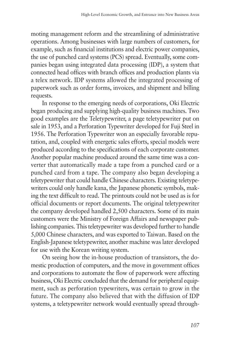moting management reform and the streamlining of administrative operations. Among businesses with large numbers of customers, for example, such as financial institutions and electric power companies, the use of punched card systems (PCS) spread. Eventually, some companies began using integrated data processing (IDP), a system that connected head offices with branch offices and production plants via a telex network. IDP systems allowed the integrated processing of paperwork such as order forms, invoices, and shipment and billing requests.

In response to the emerging needs of corporations, Oki Electric began producing and supplying high-quality business machines. Two good examples are the Teletypewriter, a page teletypewriter put on sale in 1953, and a Perforation Typewriter developed for Fuji Steel in 1956. The Perforation Typewriter won an especially favorable reputation, and, coupled with energetic sales efforts, special models were produced according to the specifications of each corporate customer. Another popular machine produced around the same time was a converter that automatically made a tape from a punched card or a punched card from a tape. The company also began developing a teletypewriter that could handle Chinese characters. Existing teletypewriters could only handle kana, the Japanese phonetic symbols, making the text difficult to read. The printouts could not be used as is for official documents or report documents. The original teletypewriter the company developed handled 2,500 characters. Some of its main customers were the Ministry of Foreign Affairs and newspaper publishing companies. This teletypewriter was developed further to handle 5,000 Chinese characters, and was exported to Taiwan. Based on the English-Japanese teletypewriter, another machine was later developed for use with the Korean writing system.

On seeing how the in-house production of transistors, the domestic production of computers, and the move in government offices and corporations to automate the flow of paperwork were affecting business, Oki Electric concluded that the demand for peripheral equipment, such as perforation typewriters, was certain to grow in the future. The company also believed that with the diffusion of IDP systems, a teletypewriter network would eventually spread through-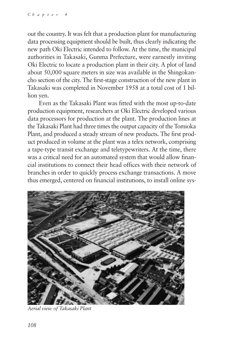out the country. It was felt that a production plant for manufacturing data processing equipment should be built, thus clearly indicating the new path Oki Electric intended to follow. At the time, the municipal authorities in Takasaki, Gunma Prefecture, were earnestly inviting Oki Electric to locate a production plant in their city. A plot of land about 50,000 square meters in size was available in the Shingokancho section of the city. The first-stage construction of the new plant in Takasaki was completed in November 1958 at a total cost of 1 billion yen.

Even as the Takasaki Plant was fitted with the most up-to-date production equipment, researchers at Oki Electric developed various data processors for production at the plant. The production lines at the Takasaki Plant had three times the output capacity of the Tomioka Plant, and produced a steady stream of new products. The first product produced in volume at the plant was a telex network, comprising a tape-type transit exchange and teletypewriters. At the time, there was a critical need for an automated system that would allow financial institutions to connect their head offices with their network of branches in order to quickly process exchange transactions. A move thus emerged, centered on financial institutions, to install online sys-



*Aerial view of Takasaki Plant*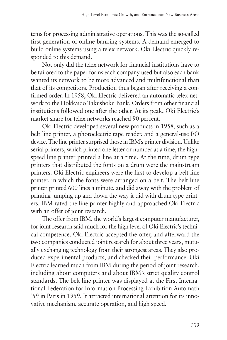tems for processing administrative operations. This was the so-called first generation of online banking systems. A demand emerged to build online systems using a telex network. Oki Electric quickly responded to this demand.

Not only did the telex network for financial institutions have to be tailored to the paper forms each company used but also each bank wanted its network to be more advanced and multifunctional than that of its competitors. Production thus began after receiving a confirmed order. In 1958, Oki Electric delivered an automatic telex network to the Hokkaido Takushoku Bank. Orders from other financial institutions followed one after the other. At its peak, Oki Electric's market share for telex networks reached 90 percent.

Oki Electric developed several new products in 1958, such as a belt line printer, a photoelectric tape reader, and a general-use I/O device. The line printer surprised those in IBM's printer division. Unlike serial printers, which printed one letter or number at a time, the highspeed line printer printed a line at a time. At the time, drum type printers that distributed the fonts on a drum were the mainstream printers. Oki Electric engineers were the first to develop a belt line printer, in which the fonts were arranged on a belt. The belt line printer printed 600 lines a minute, and did away with the problem of printing jumping up and down the way it did with drum type printers. IBM rated the line printer highly and approached Oki Electric with an offer of joint research.

The offer from IBM, the world's largest computer manufacturer, for joint research said much for the high level of Oki Electric's technical competence. Oki Electric accepted the offer, and afterward the two companies conducted joint research for about three years, mutually exchanging technology from their strongest areas. They also produced experimental products, and checked their performance. Oki Electric learned much from IBM during the period of joint research, including about computers and about IBM's strict quality control standards. The belt line printer was displayed at the First International Federation for Information Processing Exhibition Automath '59 in Paris in 1959. It attracted international attention for its innovative mechanism, accurate operation, and high speed.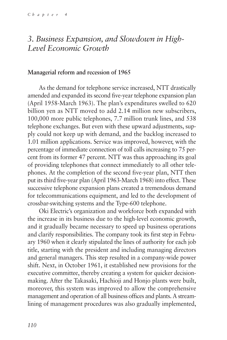# *3. Business Expansion, and Slowdown in High-Level Economic Growth*

#### **Managerial reform and recession of 1965**

As the demand for telephone service increased, NTT drastically amended and expanded its second five-year telephone expansion plan (April 1958-March 1963). The plan's expenditures swelled to 620 billion yen as NTT moved to add 2.14 million new subscribers, 100,000 more public telephones, 7.7 million trunk lines, and 538 telephone exchanges. But even with these upward adjustments, supply could not keep up with demand, and the backlog increased to 1.01 million applications. Service was improved, however, with the percentage of immediate connection of toll calls increasing to 75 percent from its former 47 percent. NTT was thus approaching its goal of providing telephones that connect immediately to all other telephones. At the completion of the second five-year plan, NTT then put its third five-year plan (April 1963-March 1968) into effect. These successive telephone expansion plans created a tremendous demand for telecommunications equipment, and led to the development of crossbar-switching systems and the Type-600 telephone.

Oki Electric's organization and workforce both expanded with the increase in its business due to the high-level economic growth, and it gradually became necessary to speed up business operations and clarify responsibilities. The company took its first step in February 1960 when it clearly stipulated the lines of authority for each job title, starting with the president and including managing directors and general managers. This step resulted in a company-wide power shift. Next, in October 1961, it established new provisions for the executive committee, thereby creating a system for quicker decisionmaking. After the Takasaki, Hachioji and Honjo plants were built, moreover, this system was improved to allow the comprehensive management and operation of all business offices and plants. A streamlining of management procedures was also gradually implemented,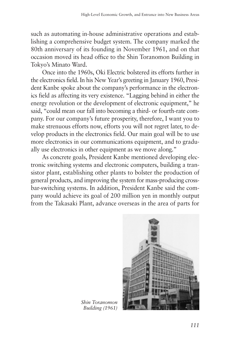such as automating in-house administrative operations and establishing a comprehensive budget system. The company marked the 80th anniversary of its founding in November 1961, and on that occasion moved its head office to the Shin Toranomon Building in Tokyo's Minato Ward.

Once into the 1960s, Oki Electric bolstered its efforts further in the electronics field. In his New Year's greeting in January 1960, President Kanbe spoke about the company's performance in the electronics field as affecting its very existence. "Lagging behind in either the energy revolution or the development of electronic equipment," he said, "could mean our fall into becoming a third- or fourth-rate company. For our company's future prosperity, therefore, I want you to make strenuous efforts now, efforts you will not regret later, to develop products in the electronics field. Our main goal will be to use more electronics in our communications equipment, and to gradually use electronics in other equipment as we move along."

As concrete goals, President Kanbe mentioned developing electronic switching systems and electronic computers, building a transistor plant, establishing other plants to bolster the production of general products, and improving the system for mass-producing crossbar-switching systems. In addition, President Kanbe said the company would achieve its goal of 200 million yen in monthly output from the Takasaki Plant, advance overseas in the area of parts for



*Shin Toranomon Building (1961)*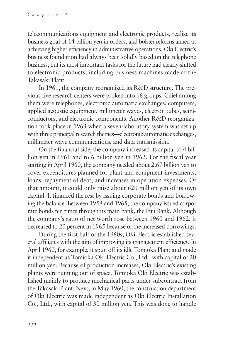telecommunications equipment and electronic products, realize its business goal of 14 billion yen in orders, and bolster reforms aimed at achieving higher efficiency in administrative operations. Oki Electric's business foundation had always been solidly based on the telephone business, but its most important tasks for the future had clearly shifted to electronic products, including business machines made at the Takasaki Plant.

In 1961, the company reorganized its R&D structure. The previous five research centers were broken into 16 groups. Chief among them were telephones, electronic automatic exchanges, computers, applied acoustic equipment, millimeter waves, electron tubes, semiconductors, and electronic components. Another R&D reorganization took place in 1963 when a seven-laboratory system was set up with three principal research themes—electronic automatic exchanges, millimeter-wave communications, and data transmission.

On the financial side, the company increased its capital to 4 billion yen in 1961 and to 6 billion yen in 1962. For the fiscal year starting in April 1960, the company needed about 2.67 billion yen to cover expenditures planned for plant and equipment investments, loans, repayment of debt, and increases in operation expenses. Of that amount, it could only raise about 620 million yen of its own capital. It financed the rest by issuing corporate bonds and borrowing the balance. Between 1959 and 1965, the company issued corporate bonds ten times through its main bank, the Fuji Bank. Although the company's ratio of net worth rose between 1960 and 1962, it decreased to 20 percent in 1965 because of the increased borrowings.

During the first half of the 1960s, Oki Electric established several affiliates with the aim of improving its management efficiency. In April 1960, for example, it spun off its idle Tomioka Plant and made it independent as Tomioka Oki Electric Co., Ltd., with capital of 20 million yen. Because of production increases, Oki Electric's existing plants were running out of space. Tomioka Oki Electric was established mainly to produce mechanical parts under subcontract from the Takasaki Plant. Next, in May 1960, the construction department of Oki Electric was made independent as Oki Electric Installation Co., Ltd., with capital of 30 million yen. This was done to handle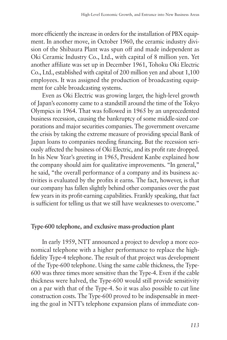more efficiently the increase in orders for the installation of PBX equipment. In another move, in October 1960, the ceramic industry division of the Shibaura Plant was spun off and made independent as Oki Ceramic Industry Co., Ltd., with capital of 8 million yen. Yet another affiliate was set up in December 1961, Tohoku Oki Electric Co., Ltd., established with capital of 200 million yen and about 1,100 employees. It was assigned the production of broadcasting equipment for cable broadcasting systems.

Even as Oki Electric was growing larger, the high-level growth of Japan's economy came to a standstill around the time of the Tokyo Olympics in 1964. That was followed in 1965 by an unprecedented business recession, causing the bankruptcy of some middle-sized corporations and major securities companies. The government overcame the crisis by taking the extreme measure of providing special Bank of Japan loans to companies needing financing. But the recession seriously affected the business of Oki Electric, and its profit rate dropped. In his New Year's greeting in 1965, President Kanbe explained how the company should aim for qualitative improvements. "In general," he said, "the overall performance of a company and its business activities is evaluated by the profits it earns. The fact, however, is that our company has fallen slightly behind other companies over the past few years in its profit-earning capabilities. Frankly speaking, that fact is sufficient for telling us that we still have weaknesses to overcome."

# **Type-600 telephone, and exclusive mass-production plant**

In early 1959, NTT announced a project to develop a more economical telephone with a higher performance to replace the highfidelity Type-4 telephone. The result of that project was development of the Type-600 telephone. Using the same cable thickness, the Type-600 was three times more sensitive than the Type-4. Even if the cable thickness were halved, the Type-600 would still provide sensitivity on a par with that of the Type-4. So it was also possible to cut line construction costs. The Type-600 proved to be indispensable in meeting the goal in NTT's telephone expansion plans of immediate con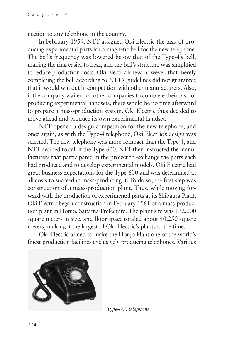nection to any telephone in the country.

In February 1959, NTT assigned Oki Electric the task of producing experimental parts for a magnetic bell for the new telephone. The bell's frequency was lowered below that of the Type-4's bell, making the ring easier to hear, and the bell's structure was simplified to reduce production costs. Oki Electric knew, however, that merely completing the bell according to NTT's guidelines did not guarantee that it would win out in competition with other manufacturers. Also, if the company waited for other companies to complete their task of producing experimental handsets, there would be no time afterward to prepare a mass-production system. Oki Electric thus decided to move ahead and produce its own experimental handset.

NTT opened a design competition for the new telephone, and once again, as with the Type-4 telephone, Oki Electric's design was selected. The new telephone was more compact than the Type-4, and NTT decided to call it the Type-600. NTT then instructed the manufacturers that participated in the project to exchange the parts each had produced and to develop experimental models. Oki Electric had great business expectations for the Type-600 and was determined at all costs to succeed in mass-producing it. To do so, the first step was construction of a mass-production plant. Thus, while moving forward with the production of experimental parts at its Shibaura Plant, Oki Electric began construction in February 1961 of a mass-production plant in Honjo, Saitama Prefecture. The plant site was 132,000 square meters in size, and floor space totaled about 40,250 square meters, making it the largest of Oki Electric's plants at the time.

Oki Electric aimed to make the Honjo Plant one of the world's finest production facilities exclusively producing telephones. Various



*Type-600 telephone*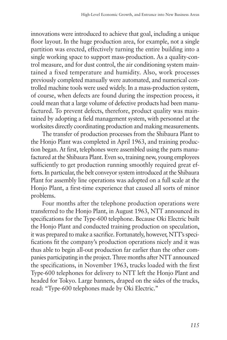innovations were introduced to achieve that goal, including a unique floor layout. In the huge production area, for example, not a single partition was erected, effectively turning the entire building into a single working space to support mass-production. As a quality-control measure, and for dust control, the air conditioning system maintained a fixed temperature and humidity. Also, work processes previously completed manually were automated, and numerical controlled machine tools were used widely. In a mass-production system, of course, when defects are found during the inspection process, it could mean that a large volume of defective products had been manufactured. To prevent defects, therefore, product quality was maintained by adopting a field management system, with personnel at the worksites directly coordinating production and making measurements.

The transfer of production processes from the Shibaura Plant to the Honjo Plant was completed in April 1963, and training production began. At first, telephones were assembled using the parts manufactured at the Shibaura Plant. Even so, training new, young employees sufficiently to get production running smoothly required great efforts. In particular, the belt conveyor system introduced at the Shibaura Plant for assembly line operations was adopted on a full scale at the Honjo Plant, a first-time experience that caused all sorts of minor problems.

Four months after the telephone production operations were transferred to the Honjo Plant, in August 1963, NTT announced its specifications for the Type-600 telephone. Because Oki Electric built the Honjo Plant and conducted training production on speculation, it was prepared to make a sacrifice. Fortunately, however, NTT's specifications fit the company's production operations nicely and it was thus able to begin all-out production far earlier than the other companies participating in the project. Three months after NTT announced the specifications, in November 1963, trucks loaded with the first Type-600 telephones for delivery to NTT left the Honjo Plant and headed for Tokyo. Large banners, draped on the sides of the trucks, read: "Type-600 telephones made by Oki Electric."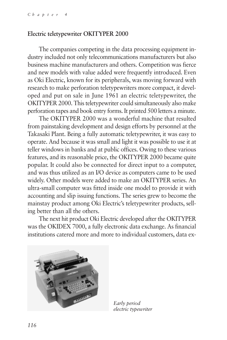#### **Electric teletypewriter OKITYPER 2000**

The companies competing in the data processing equipment industry included not only telecommunications manufacturers but also business machine manufacturers and others. Competition was fierce and new models with value added were frequently introduced. Even as Oki Electric, known for its peripherals, was moving forward with research to make perforation teletypewriters more compact, it developed and put on sale in June 1961 an electric teletypewriter, the OKITYPER 2000. This teletypewriter could simultaneously also make perforation tapes and book entry forms. It printed 500 letters a minute.

The OKITYPER 2000 was a wonderful machine that resulted from painstaking development and design efforts by personnel at the Takasaki Plant. Being a fully automatic teletypewriter, it was easy to operate. And because it was small and light it was possible to use it at teller windows in banks and at public offices. Owing to these various features, and its reasonable price, the OKITYPER 2000 became quite popular. It could also be connected for direct input to a computer, and was thus utilized as an I/O device as computers came to be used widely. Other models were added to make an OKITYPER series. An ultra-small computer was fitted inside one model to provide it with accounting and slip issuing functions. The series grew to become the mainstay product among Oki Electric's teletypewriter products, selling better than all the others.

The next hit product Oki Electric developed after the OKITYPER was the OKIDEX 7000, a fully electronic data exchange. As financial institutions catered more and more to individual customers, data ex-



*Early period electric typewriter*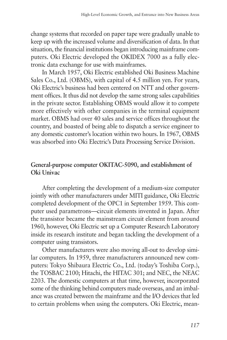change systems that recorded on paper tape were gradually unable to keep up with the increased volume and diversification of data. In that situation, the financial institutions began introducing mainframe computers. Oki Electric developed the OKIDEX 7000 as a fully electronic data exchange for use with mainframes.

In March 1957, Oki Electric established Oki Business Machine Sales Co., Ltd. (OBMS), with capital of 4.5 million yen. For years, Oki Electric's business had been centered on NTT and other government offices. It thus did not develop the same strong sales capabilities in the private sector. Establishing OBMS would allow it to compete more effectively with other companies in the terminal equipment market. OBMS had over 40 sales and service offices throughout the country, and boasted of being able to dispatch a service engineer to any domestic customer's location within two hours. In 1967, OBMS was absorbed into Oki Electric's Data Processing Service Division.

# **General-purpose computer OKITAC-5090, and establishment of Oki Univac**

After completing the development of a medium-size computer jointly with other manufacturers under MITI guidance, Oki Electric completed development of the OPC1 in September 1959. This computer used parametrons—circuit elements invented in Japan. After the transistor became the mainstream circuit element from around 1960, however, Oki Electric set up a Computer Research Laboratory inside its research institute and began tackling the development of a computer using transistors.

Other manufacturers were also moving all-out to develop similar computers. In 1959, three manufacturers announced new computers: Tokyo Shibaura Electric Co., Ltd. (today's Toshiba Corp.), the TOSBAC 2100; Hitachi, the HITAC 301; and NEC, the NEAC 2203. The domestic computers at that time, however, incorporated some of the thinking behind computers made overseas, and an imbalance was created between the mainframe and the I/O devices that led to certain problems when using the computers. Oki Electric, mean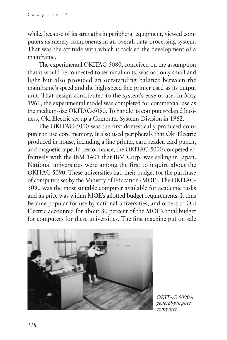while, because of its strengths in peripheral equipment, viewed computers as merely components in an overall data processing system. That was the attitude with which it tackled the development of a mainframe.

The experimental OKITAC-5080, conceived on the assumption that it would be connected to terminal units, was not only small and light but also provided an outstanding balance between the mainframe's speed and the high-speed line printer used as its output unit. That design contributed to the system's ease of use. In May 1961, the experimental model was completed for commercial use as the medium-size OKITAC-5090. To handle its computer-related business, Oki Electric set up a Computer Systems Division in 1962.

The OKITAC-5090 was the first domestically produced computer to use core memory. It also used peripherals that Oki Electric produced in-house, including a line printer, card reader, card punch, and magnetic tape. In performance, the OKITAC-5090 competed effectively with the IBM 1401 that IBM Corp. was selling in Japan. National universities were among the first to inquire about the OKITAC-5090. These universities had their budget for the purchase of computers set by the Ministry of Education (MOE). The OKITAC-5090 was the most suitable computer available for academic tasks and its price was within MOE's allotted budget requirements. It thus became popular for use by national universities, and orders to Oki Electric accounted for about 80 percent of the MOE's total budget for computers for these universities. The first machine put on sale



*OKITAC-5090A general-purpose computer*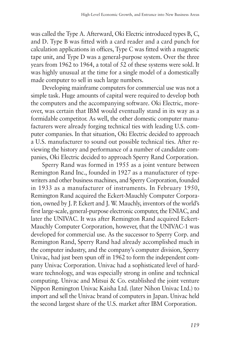was called the Type A. Afterward, Oki Electric introduced types B, C, and D. Type B was fitted with a card reader and a card punch for calculation applications in offices, Type C was fitted with a magnetic tape unit, and Type D was a general-purpose system. Over the three years from 1962 to 1964, a total of 52 of these systems were sold. It was highly unusual at the time for a single model of a domestically made computer to sell in such large numbers.

Developing mainframe computers for commercial use was not a simple task. Huge amounts of capital were required to develop both the computers and the accompanying software. Oki Electric, moreover, was certain that IBM would eventually stand in its way as a formidable competitor. As well, the other domestic computer manufacturers were already forging technical ties with leading U.S. computer companies. In that situation, Oki Electric decided to approach a U.S. manufacturer to sound out possible technical ties. After reviewing the history and performance of a number of candidate companies, Oki Electric decided to approach Sperry Rand Corporation.

Sperry Rand was formed in 1955 as a joint venture between Remington Rand Inc., founded in 1927 as a manufacturer of typewriters and other business machines, and Sperry Corporation, founded in 1933 as a manufacturer of instruments. In February 1950, Remington Rand acquired the Eckert-Mauchly Computer Corporation, owned by J. P. Eckert and J. W. Mauchly, inventors of the world's first large-scale, general-purpose electronic computer, the ENIAC, and later the UNIVAC. It was after Remington Rand acquired Eckert-Mauchly Computer Corporation, however, that the UNIVAC-1 was developed for commercial use. As the successor to Sperry Corp. and Remington Rand, Sperry Rand had already accomplished much in the computer industry, and the company's computer division, Sperry Univac, had just been spun off in 1962 to form the independent company Univac Corporation. Univac had a sophisticated level of hardware technology, and was especially strong in online and technical computing. Univac and Mitsui & Co. established the joint venture Nippon Remington Univac Kaisha Ltd. (later Nihon Univac Ltd.) to import and sell the Univac brand of computers in Japan. Univac held the second largest share of the U.S. market after IBM Corporation.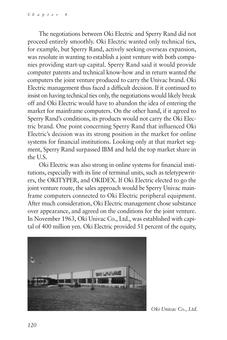The negotiations between Oki Electric and Sperry Rand did not proceed entirely smoothly. Oki Electric wanted only technical ties, for example, but Sperry Rand, actively seeking overseas expansion, was resolute in wanting to establish a joint venture with both companies providing start-up capital. Sperry Rand said it would provide computer patents and technical know-how and in return wanted the computers the joint venture produced to carry the Univac brand. Oki Electric management thus faced a difficult decision. If it continued to insist on having technical ties only, the negotiations would likely break off and Oki Electric would have to abandon the idea of entering the market for mainframe computers. On the other hand, if it agreed to Sperry Rand's conditions, its products would not carry the Oki Electric brand. One point concerning Sperry Rand that influenced Oki Electric's decision was its strong position in the market for online systems for financial institutions. Looking only at that market segment, Sperry Rand surpassed IBM and held the top market share in the U.S.

Oki Electric was also strong in online systems for financial institutions, especially with its line of terminal units, such as teletypewriters, the OKITYPER, and OKIDEX. If Oki Electric elected to go the joint venture route, the sales approach would be Sperry Univac mainframe computers connected to Oki Electric peripheral equipment. After much consideration, Oki Electric management chose substance over appearance, and agreed on the conditions for the joint venture. In November 1963, Oki Univac Co., Ltd., was established with capital of 400 million yen. Oki Electric provided 51 percent of the equity,



*Oki Univac Co., Ltd.*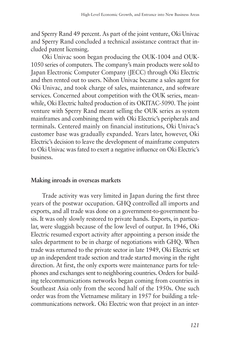and Sperry Rand 49 percent. As part of the joint venture, Oki Univac and Sperry Rand concluded a technical assistance contract that included patent licensing.

Oki Univac soon began producing the OUK-1004 and OUK-1050 series of computers. The company's main products were sold to Japan Electronic Computer Company (JECC) through Oki Electric and then rented out to users. Nihon Univac became a sales agent for Oki Univac, and took charge of sales, maintenance, and software services. Concerned about competition with the OUK series, meanwhile, Oki Electric halted production of its OKITAC-5090. The joint venture with Sperry Rand meant selling the OUK series as system mainframes and combining them with Oki Electric's peripherals and terminals. Centered mainly on financial institutions, Oki Univac's customer base was gradually expanded. Years later, however, Oki Electric's decision to leave the development of mainframe computers to Oki Univac was fated to exert a negative influence on Oki Electric's business.

#### **Making inroads in overseas markets**

Trade activity was very limited in Japan during the first three years of the postwar occupation. GHQ controlled all imports and exports, and all trade was done on a government-to-government basis. It was only slowly restored to private hands. Exports, in particular, were sluggish because of the low level of output. In 1946, Oki Electric resumed export activity after appointing a person inside the sales department to be in charge of negotiations with GHQ. When trade was returned to the private sector in late 1949, Oki Electric set up an independent trade section and trade started moving in the right direction. At first, the only exports were maintenance parts for telephones and exchanges sent to neighboring countries. Orders for building telecommunications networks began coming from countries in Southeast Asia only from the second half of the 1950s. One such order was from the Vietnamese military in 1957 for building a telecommunications network. Oki Electric won that project in an inter-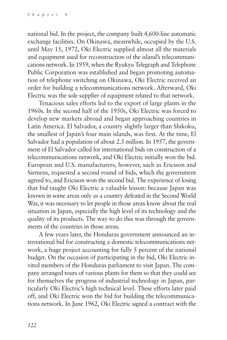national bid. In the project, the company built 4,600-line automatic exchange facilities. On Okinawa, meanwhile, occupied by the U.S. until May 15, 1972, Oki Electric supplied almost all the materials and equipment used for reconstruction of the island's telecommunications network. In 1959, when the Ryukyu Telegraph and Telephone Public Corporation was established and began promoting automation of telephone switching on Okinawa, Oki Electric received an order for building a telecommunications network. Afterward, Oki Electric was the sole supplier of equipment related to that network.

Tenacious sales efforts led to the export of large plants in the 1960s. In the second half of the 1950s, Oki Electric was forced to develop new markets abroad and began approaching countries in Latin America. El Salvador, a country slightly larger than Shikoku, the smallest of Japan's four main islands, was first. At the time, El Salvador had a population of about 2.5 million. In 1957, the government of El Salvador called for international bids on construction of a telecommunications network, and Oki Electric initially won the bid. European and U.S. manufacturers, however, such as Ericsson and Siemens, requested a second round of bids, which the government agreed to, and Ericsson won the second bid. The experience of losing that bid taught Oki Electric a valuable lesson: because Japan was known in some areas only as a country defeated in the Second World War, it was necessary to let people in those areas know about the real situation in Japan, especially the high level of its technology and the quality of its products. The way to do this was through the governments of the countries in those areas.

A few years later, the Honduras government announced an international bid for constructing a domestic telecommunications network, a huge project accounting for fully 5 percent of the national budget. On the occasion of participating in the bid, Oki Electric invited members of the Honduras parliament to visit Japan. The company arranged tours of various plants for them so that they could see for themselves the progress of industrial technology in Japan, particularly Oki Electric's high technical level. These efforts later paid off, and Oki Electric won the bid for building the telecommunications network. In June 1962, Oki Electric signed a contract with the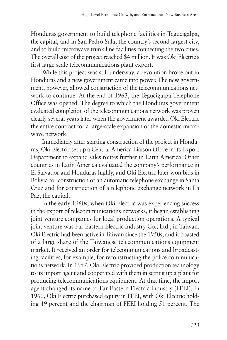Honduras government to build telephone facilities in Tegucigalpa, the capital, and in San Pedro Sula, the country's second largest city, and to build microwave trunk line facilities connecting the two cities. The overall cost of the project reached \$4 million. It was Oki Electric's first large-scale telecommunications plant export.

While this project was still underway, a revolution broke out in Honduras and a new government came into power. The new government, however, allowed construction of the telecommunications network to continue. At the end of 1963, the Tegucigalpa Telephone Office was opened. The degree to which the Honduras government evaluated completion of the telecommunications network was proven clearly several years later when the government awarded Oki Electric the entire contract for a large-scale expansion of the domestic microwave network.

Immediately after starting construction of the project in Honduras, Oki Electric set up a Central America Liaison Office in its Export Department to expand sales routes further in Latin America. Other countries in Latin America evaluated the company's performance in El Salvador and Honduras highly, and Oki Electric later won bids in Bolivia for construction of an automatic telephone exchange in Santa Cruz and for construction of a telephone exchange network in La Paz, the capital.

In the early 1960s, when Oki Electric was experiencing success in the export of telecommunications networks, it began establishing joint venture companies for local production operations. A typical joint venture was Far Eastern Electric Industry Co., Ltd., in Taiwan. Oki Electric had been active in Taiwan since the 1950s, and it boasted of a large share of the Taiwanese telecommunications equipment market. It received an order for telecommunications and broadcasting facilities, for example, for reconstructing the police communications network. In 1957, Oki Electric provided production technology to its import agent and cooperated with them in setting up a plant for producing telecommunications equipment. At that time, the import agent changed its name to Far Eastern Electric Industry (FEEI). In 1960, Oki Electric purchased equity in FEEI, with Oki Electric holding 49 percent and the chairman of FEEI holding 51 percent. The